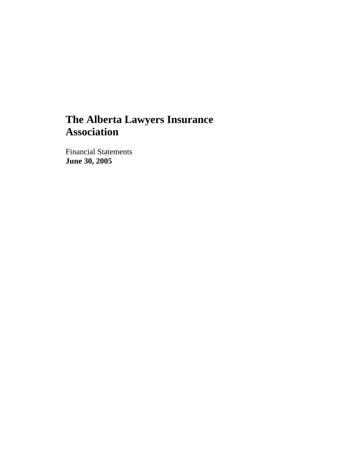# **The Alberta Lawyers Insurance Association**

Financial Statements **June 30, 2005**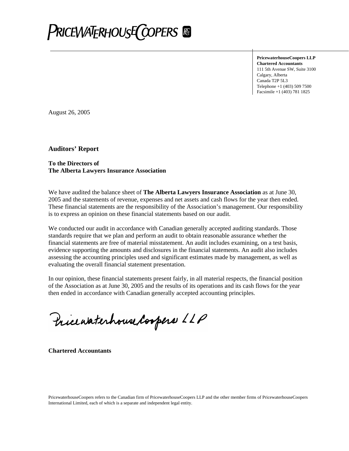

**PricewaterhouseCoopers LLP Chartered Accountants**  111 5th Avenue SW, Suite 3100 Calgary, Alberta Canada T2P 5L3 Telephone +1 (403) 509 7500 Facsimile +1 (403) 781 1825

August 26, 2005

**Auditors' Report** 

#### **To the Directors of The Alberta Lawyers Insurance Association**

We have audited the balance sheet of **The Alberta Lawyers Insurance Association** as at June 30, 2005 and the statements of revenue, expenses and net assets and cash flows for the year then ended. These financial statements are the responsibility of the Association's management. Our responsibility is to express an opinion on these financial statements based on our audit.

We conducted our audit in accordance with Canadian generally accepted auditing standards. Those standards require that we plan and perform an audit to obtain reasonable assurance whether the financial statements are free of material misstatement. An audit includes examining, on a test basis, evidence supporting the amounts and disclosures in the financial statements. An audit also includes assessing the accounting principles used and significant estimates made by management, as well as evaluating the overall financial statement presentation.

In our opinion, these financial statements present fairly, in all material respects, the financial position of the Association as at June 30, 2005 and the results of its operations and its cash flows for the year then ended in accordance with Canadian generally accepted accounting principles.

Pricewaterhouse Coopers LLP

**Chartered Accountants**

PricewaterhouseCoopers refers to the Canadian firm of PricewaterhouseCoopers LLP and the other member firms of PricewaterhouseCoopers International Limited, each of which is a separate and independent legal entity.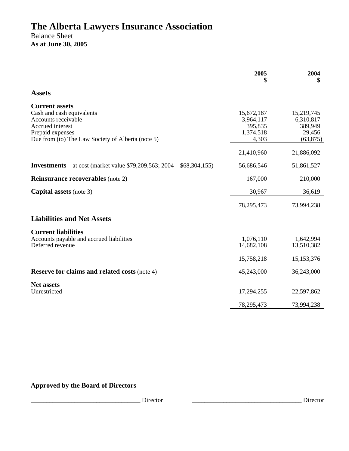### **The Alberta Lawyers Insurance Association**  Balance Sheet **As at June 30, 2005**

|                                                                                                                                                                        | 2005                                                     | 2004<br>\$                                                |
|------------------------------------------------------------------------------------------------------------------------------------------------------------------------|----------------------------------------------------------|-----------------------------------------------------------|
| <b>Assets</b>                                                                                                                                                          |                                                          |                                                           |
| <b>Current assets</b><br>Cash and cash equivalents<br>Accounts receivable<br>Accrued interest<br>Prepaid expenses<br>Due from (to) The Law Society of Alberta (note 5) | 15,672,187<br>3,964,117<br>395,835<br>1,374,518<br>4,303 | 15,219,745<br>6,310,817<br>389,949<br>29,456<br>(63, 875) |
|                                                                                                                                                                        | 21,410,960                                               | 21,886,092                                                |
| <b>Investments</b> – at cost (market value \$79,209,563; 2004 – \$68,304,155)                                                                                          | 56,686,546                                               | 51,861,527                                                |
| <b>Reinsurance recoverables</b> (note 2)                                                                                                                               | 167,000                                                  | 210,000                                                   |
| <b>Capital assets</b> (note 3)                                                                                                                                         | 30,967                                                   | 36,619                                                    |
|                                                                                                                                                                        | 78,295,473                                               | 73,994,238                                                |
| <b>Liabilities and Net Assets</b>                                                                                                                                      |                                                          |                                                           |
| <b>Current liabilities</b><br>Accounts payable and accrued liabilities<br>Deferred revenue                                                                             | 1,076,110<br>14,682,108<br>15,758,218                    | 1,642,994<br>13,510,382<br>15, 153, 376                   |
| <b>Reserve for claims and related costs (note 4)</b>                                                                                                                   | 45,243,000                                               | 36,243,000                                                |
| <b>Net assets</b><br>Unrestricted                                                                                                                                      | 17,294,255                                               | 22,597,862                                                |
|                                                                                                                                                                        | 78,295,473                                               | 73,994,238                                                |

### **Approved by the Board of Directors**

\_\_\_\_\_\_\_\_\_\_\_\_\_\_\_\_\_\_\_\_\_\_\_\_\_\_\_\_\_\_\_\_\_\_\_ Director \_\_\_\_\_\_\_\_\_\_\_\_\_\_\_\_\_\_\_\_\_\_\_\_\_\_\_\_\_\_\_\_\_\_\_ Director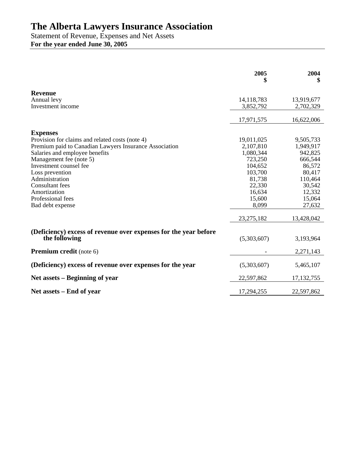## **The Alberta Lawyers Insurance Association**

Statement of Revenue, Expenses and Net Assets **For the year ended June 30, 2005** 

|                                                                  | 2005<br>\$   | 2004<br>\$   |
|------------------------------------------------------------------|--------------|--------------|
| <b>Revenue</b>                                                   |              |              |
| Annual levy                                                      | 14, 118, 783 | 13,919,677   |
| Investment income                                                | 3,852,792    | 2,702,329    |
|                                                                  | 17,971,575   | 16,622,006   |
| <b>Expenses</b>                                                  |              |              |
| Provision for claims and related costs (note 4)                  | 19,011,025   | 9,505,733    |
| Premium paid to Canadian Lawyers Insurance Association           | 2,107,810    | 1,949,917    |
| Salaries and employee benefits                                   | 1,080,344    | 942,825      |
| Management fee (note 5)                                          | 723,250      | 666,544      |
| Investment counsel fee                                           | 104,652      | 86,572       |
| Loss prevention                                                  | 103,700      | 80,417       |
| Administration                                                   | 81,738       | 110,464      |
| <b>Consultant</b> fees                                           | 22,330       | 30,542       |
| Amortization                                                     | 16,634       | 12,332       |
| Professional fees                                                | 15,600       | 15,064       |
| Bad debt expense                                                 | 8,099        | 27,632       |
|                                                                  | 23, 275, 182 | 13,428,042   |
| (Deficiency) excess of revenue over expenses for the year before |              |              |
| the following                                                    | (5,303,607)  | 3,193,964    |
| <b>Premium credit</b> (note 6)                                   |              | 2,271,143    |
| (Deficiency) excess of revenue over expenses for the year        | (5,303,607)  | 5,465,107    |
| Net assets – Beginning of year                                   | 22,597,862   | 17, 132, 755 |
| Net assets – End of year                                         | 17,294,255   | 22,597,862   |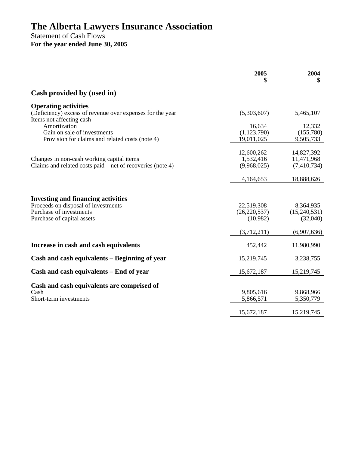## **The Alberta Lawyers Insurance Association**

Statement of Cash Flows **For the year ended June 30, 2005** 

|                                                                                                                      | 2005                                     | 2004<br>\$                              |
|----------------------------------------------------------------------------------------------------------------------|------------------------------------------|-----------------------------------------|
| Cash provided by (used in)                                                                                           |                                          |                                         |
| <b>Operating activities</b><br>(Deficiency) excess of revenue over expenses for the year<br>Items not affecting cash | (5,303,607)                              | 5,465,107                               |
| Amortization<br>Gain on sale of investments<br>Provision for claims and related costs (note 4)                       | 16,634<br>(1, 123, 790)<br>19,011,025    | 12,332<br>(155,780)<br>9,505,733        |
| Changes in non-cash working capital items<br>Claims and related costs paid – net of recoveries (note 4)              | 12,600,262<br>1,532,416<br>(9,968,025)   | 14,827,392<br>11,471,968<br>(7,410,734) |
|                                                                                                                      | 4,164,653                                | 18,888,626                              |
| <b>Investing and financing activities</b>                                                                            |                                          |                                         |
| Proceeds on disposal of investments<br>Purchase of investments<br>Purchase of capital assets                         | 22,519,308<br>(26, 220, 537)<br>(10,982) | 8,364,935<br>(15,240,531)<br>(32,040)   |
|                                                                                                                      | (3,712,211)                              | (6,907,636)                             |
| Increase in cash and cash equivalents                                                                                | 452,442                                  | 11,980,990                              |
| Cash and cash equivalents – Beginning of year                                                                        | 15,219,745                               | 3,238,755                               |
| Cash and cash equivalents – End of year                                                                              | 15,672,187                               | 15,219,745                              |
| Cash and cash equivalents are comprised of<br>Cash<br>Short-term investments                                         | 9,805,616<br>5,866,571                   | 9,868,966<br>5,350,779                  |
|                                                                                                                      | 15,672,187                               | 15,219,745                              |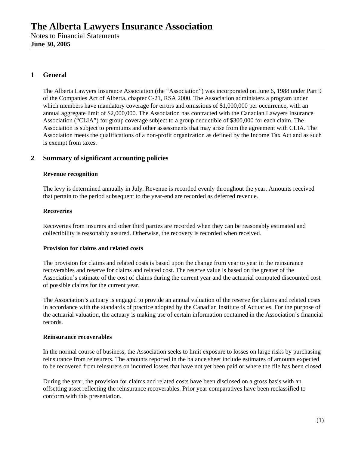#### **1 General**

The Alberta Lawyers Insurance Association (the "Association") was incorporated on June 6, 1988 under Part 9 of the Companies Act of Alberta, chapter C-21, RSA 2000. The Association administers a program under which members have mandatory coverage for errors and omissions of \$1,000,000 per occurrence, with an annual aggregate limit of \$2,000,000. The Association has contracted with the Canadian Lawyers Insurance Association ("CLIA") for group coverage subject to a group deductible of \$300,000 for each claim. The Association is subject to premiums and other assessments that may arise from the agreement with CLIA. The Association meets the qualifications of a non-profit organization as defined by the Income Tax Act and as such is exempt from taxes.

#### **2 Summary of significant accounting policies**

#### **Revenue recognition**

The levy is determined annually in July. Revenue is recorded evenly throughout the year. Amounts received that pertain to the period subsequent to the year-end are recorded as deferred revenue.

#### **Recoveries**

Recoveries from insurers and other third parties are recorded when they can be reasonably estimated and collectibility is reasonably assured. Otherwise, the recovery is recorded when received.

#### **Provision for claims and related costs**

The provision for claims and related costs is based upon the change from year to year in the reinsurance recoverables and reserve for claims and related cost. The reserve value is based on the greater of the Association's estimate of the cost of claims during the current year and the actuarial computed discounted cost of possible claims for the current year.

The Association's actuary is engaged to provide an annual valuation of the reserve for claims and related costs in accordance with the standards of practice adopted by the Canadian Institute of Actuaries. For the purpose of the actuarial valuation, the actuary is making use of certain information contained in the Association's financial records.

#### **Reinsurance recoverables**

In the normal course of business, the Association seeks to limit exposure to losses on large risks by purchasing reinsurance from reinsurers. The amounts reported in the balance sheet include estimates of amounts expected to be recovered from reinsurers on incurred losses that have not yet been paid or where the file has been closed.

During the year, the provision for claims and related costs have been disclosed on a gross basis with an offsetting asset reflecting the reinsurance recoverables. Prior year comparatives have been reclassified to conform with this presentation.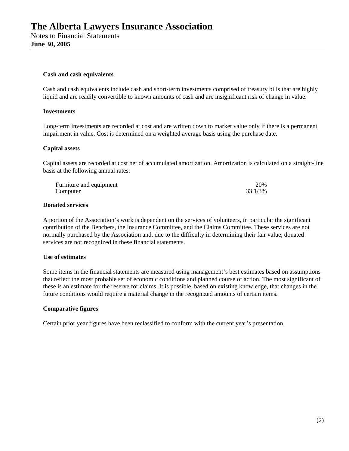#### **Cash and cash equivalents**

Cash and cash equivalents include cash and short-term investments comprised of treasury bills that are highly liquid and are readily convertible to known amounts of cash and are insignificant risk of change in value.

#### **Investments**

Long-term investments are recorded at cost and are written down to market value only if there is a permanent impairment in value. Cost is determined on a weighted average basis using the purchase date.

#### **Capital assets**

Capital assets are recorded at cost net of accumulated amortization. Amortization is calculated on a straight-line basis at the following annual rates:

| Furniture and equipment | 20%     |
|-------------------------|---------|
| Computer                | 33 1/3% |

#### **Donated services**

A portion of the Association's work is dependent on the services of volunteers, in particular the significant contribution of the Benchers, the Insurance Committee, and the Claims Committee. These services are not normally purchased by the Association and, due to the difficulty in determining their fair value, donated services are not recognized in these financial statements.

#### **Use of estimates**

Some items in the financial statements are measured using management's best estimates based on assumptions that reflect the most probable set of economic conditions and planned course of action. The most significant of these is an estimate for the reserve for claims. It is possible, based on existing knowledge, that changes in the future conditions would require a material change in the recognized amounts of certain items.

#### **Comparative figures**

Certain prior year figures have been reclassified to conform with the current year's presentation.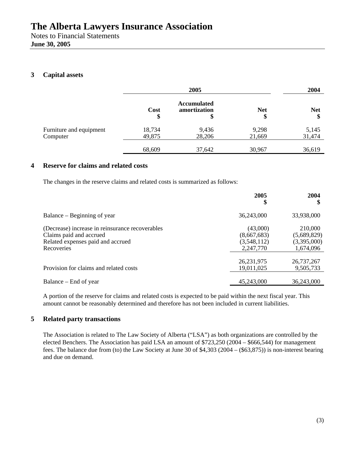**June 30, 2005** 

#### **3 Capital assets**

|                                     | 2005             |                                          | 2004             |                  |
|-------------------------------------|------------------|------------------------------------------|------------------|------------------|
|                                     | Cost<br>\$       | <b>Accumulated</b><br>amortization<br>\$ | <b>Net</b><br>\$ | <b>Net</b><br>\$ |
| Furniture and equipment<br>Computer | 18,734<br>49,875 | 9,436<br>28,206                          | 9,298<br>21,669  | 5,145<br>31,474  |
|                                     | 68,609           | 37,642                                   | 30,967           | 36,619           |

#### **4 Reserve for claims and related costs**

The changes in the reserve claims and related costs is summarized as follows:

|                                                                                                                               | 2005<br>S                                           | 2004<br>\$                                         |
|-------------------------------------------------------------------------------------------------------------------------------|-----------------------------------------------------|----------------------------------------------------|
| Balance – Beginning of year                                                                                                   | 36,243,000                                          | 33,938,000                                         |
| (Decrease) increase in reinsurance recoverables<br>Claims paid and accrued<br>Related expenses paid and accrued<br>Recoveries | (43,000)<br>(8,667,683)<br>(3,548,112)<br>2,247,770 | 210,000<br>(5,689,829)<br>(3,395,000)<br>1,674,096 |
| Provision for claims and related costs                                                                                        | 26,231,975<br>19,011,025                            | 26,737,267<br>9,505,733                            |
| Balance – End of year                                                                                                         | 45,243,000                                          | 36,243,000                                         |

A portion of the reserve for claims and related costs is expected to be paid within the next fiscal year. This amount cannot be reasonably determined and therefore has not been included in current liabilities.

#### **5 Related party transactions**

The Association is related to The Law Society of Alberta ("LSA") as both organizations are controlled by the elected Benchers. The Association has paid LSA an amount of \$723,250 (2004 – \$666,544) for management fees. The balance due from (to) the Law Society at June 30 of \$4,303 (2004 – (\$63,875)) is non-interest bearing and due on demand.